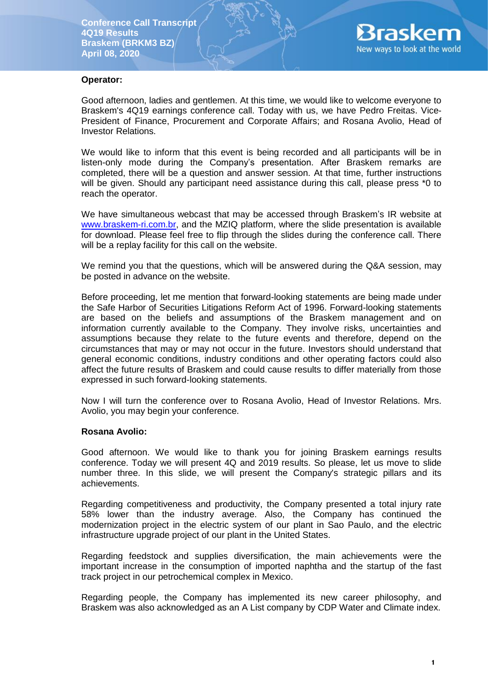

#### **Operator:**

Good afternoon, ladies and gentlemen. At this time, we would like to welcome everyone to Braskem's 4Q19 earnings conference call. Today with us, we have Pedro Freitas. Vice-President of Finance, Procurement and Corporate Affairs; and Rosana Avolio, Head of Investor Relations.

We would like to inform that this event is being recorded and all participants will be in listen-only mode during the Company's presentation. After Braskem remarks are completed, there will be a question and answer session. At that time, further instructions will be given. Should any participant need assistance during this call, please press \*0 to reach the operator.

We have simultaneous webcast that may be accessed through Braskem's IR website at [www.braskem-ri.com.br,](http://www.braskem-ri.com.br/) and the MZIQ platform, where the slide presentation is available for download. Please feel free to flip through the slides during the conference call. There will be a replay facility for this call on the website.

We remind you that the questions, which will be answered during the Q&A session, may be posted in advance on the website.

Before proceeding, let me mention that forward-looking statements are being made under the Safe Harbor of Securities Litigations Reform Act of 1996. Forward-looking statements are based on the beliefs and assumptions of the Braskem management and on information currently available to the Company. They involve risks, uncertainties and assumptions because they relate to the future events and therefore, depend on the circumstances that may or may not occur in the future. Investors should understand that general economic conditions, industry conditions and other operating factors could also affect the future results of Braskem and could cause results to differ materially from those expressed in such forward-looking statements.

Now I will turn the conference over to Rosana Avolio, Head of Investor Relations. Mrs. Avolio, you may begin your conference.

#### **Rosana Avolio:**

Good afternoon. We would like to thank you for joining Braskem earnings results conference. Today we will present 4Q and 2019 results. So please, let us move to slide number three. In this slide, we will present the Company's strategic pillars and its achievements.

Regarding competitiveness and productivity, the Company presented a total injury rate 58% lower than the industry average. Also, the Company has continued the modernization project in the electric system of our plant in Sao Paulo, and the electric infrastructure upgrade project of our plant in the United States.

Regarding feedstock and supplies diversification, the main achievements were the important increase in the consumption of imported naphtha and the startup of the fast track project in our petrochemical complex in Mexico.

Regarding people, the Company has implemented its new career philosophy, and Braskem was also acknowledged as an A List company by CDP Water and Climate index.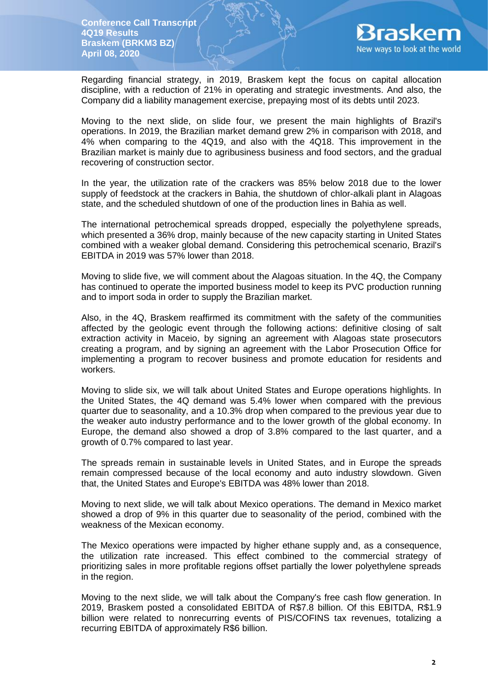

Regarding financial strategy, in 2019, Braskem kept the focus on capital allocation discipline, with a reduction of 21% in operating and strategic investments. And also, the Company did a liability management exercise, prepaying most of its debts until 2023.

Moving to the next slide, on slide four, we present the main highlights of Brazil's operations. In 2019, the Brazilian market demand grew 2% in comparison with 2018, and 4% when comparing to the 4Q19, and also with the 4Q18. This improvement in the Brazilian market is mainly due to agribusiness business and food sectors, and the gradual recovering of construction sector.

In the year, the utilization rate of the crackers was 85% below 2018 due to the lower supply of feedstock at the crackers in Bahia, the shutdown of chlor-alkali plant in Alagoas state, and the scheduled shutdown of one of the production lines in Bahia as well.

The international petrochemical spreads dropped, especially the polyethylene spreads, which presented a 36% drop, mainly because of the new capacity starting in United States combined with a weaker global demand. Considering this petrochemical scenario, Brazil's EBITDA in 2019 was 57% lower than 2018.

Moving to slide five, we will comment about the Alagoas situation. In the 4Q, the Company has continued to operate the imported business model to keep its PVC production running and to import soda in order to supply the Brazilian market.

Also, in the 4Q, Braskem reaffirmed its commitment with the safety of the communities affected by the geologic event through the following actions: definitive closing of salt extraction activity in Maceio, by signing an agreement with Alagoas state prosecutors creating a program, and by signing an agreement with the Labor Prosecution Office for implementing a program to recover business and promote education for residents and workers.

Moving to slide six, we will talk about United States and Europe operations highlights. In the United States, the 4Q demand was 5.4% lower when compared with the previous quarter due to seasonality, and a 10.3% drop when compared to the previous year due to the weaker auto industry performance and to the lower growth of the global economy. In Europe, the demand also showed a drop of 3.8% compared to the last quarter, and a growth of 0.7% compared to last year.

The spreads remain in sustainable levels in United States, and in Europe the spreads remain compressed because of the local economy and auto industry slowdown. Given that, the United States and Europe's EBITDA was 48% lower than 2018.

Moving to next slide, we will talk about Mexico operations. The demand in Mexico market showed a drop of 9% in this quarter due to seasonality of the period, combined with the weakness of the Mexican economy.

The Mexico operations were impacted by higher ethane supply and, as a consequence, the utilization rate increased. This effect combined to the commercial strategy of prioritizing sales in more profitable regions offset partially the lower polyethylene spreads in the region.

Moving to the next slide, we will talk about the Company's free cash flow generation. In 2019, Braskem posted a consolidated EBITDA of R\$7.8 billion. Of this EBITDA, R\$1.9 billion were related to nonrecurring events of PIS/COFINS tax revenues, totalizing a recurring EBITDA of approximately R\$6 billion.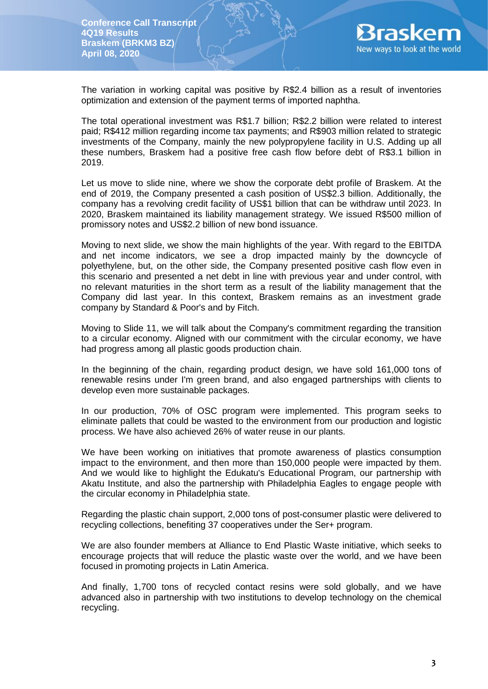

The variation in working capital was positive by R\$2.4 billion as a result of inventories optimization and extension of the payment terms of imported naphtha.

The total operational investment was R\$1.7 billion; R\$2.2 billion were related to interest paid; R\$412 million regarding income tax payments; and R\$903 million related to strategic investments of the Company, mainly the new polypropylene facility in U.S. Adding up all these numbers, Braskem had a positive free cash flow before debt of R\$3.1 billion in 2019.

Let us move to slide nine, where we show the corporate debt profile of Braskem. At the end of 2019, the Company presented a cash position of US\$2.3 billion. Additionally, the company has a revolving credit facility of US\$1 billion that can be withdraw until 2023. In 2020, Braskem maintained its liability management strategy. We issued R\$500 million of promissory notes and US\$2.2 billion of new bond issuance.

Moving to next slide, we show the main highlights of the year. With regard to the EBITDA and net income indicators, we see a drop impacted mainly by the downcycle of polyethylene, but, on the other side, the Company presented positive cash flow even in this scenario and presented a net debt in line with previous year and under control, with no relevant maturities in the short term as a result of the liability management that the Company did last year. In this context, Braskem remains as an investment grade company by Standard & Poor's and by Fitch.

Moving to Slide 11, we will talk about the Company's commitment regarding the transition to a circular economy. Aligned with our commitment with the circular economy, we have had progress among all plastic goods production chain.

In the beginning of the chain, regarding product design, we have sold 161,000 tons of renewable resins under I'm green brand, and also engaged partnerships with clients to develop even more sustainable packages.

In our production, 70% of OSC program were implemented. This program seeks to eliminate pallets that could be wasted to the environment from our production and logistic process. We have also achieved 26% of water reuse in our plants.

We have been working on initiatives that promote awareness of plastics consumption impact to the environment, and then more than 150,000 people were impacted by them. And we would like to highlight the Edukatu's Educational Program, our partnership with Akatu Institute, and also the partnership with Philadelphia Eagles to engage people with the circular economy in Philadelphia state.

Regarding the plastic chain support, 2,000 tons of post-consumer plastic were delivered to recycling collections, benefiting 37 cooperatives under the Ser+ program.

We are also founder members at Alliance to End Plastic Waste initiative, which seeks to encourage projects that will reduce the plastic waste over the world, and we have been focused in promoting projects in Latin America.

And finally, 1,700 tons of recycled contact resins were sold globally, and we have advanced also in partnership with two institutions to develop technology on the chemical recycling.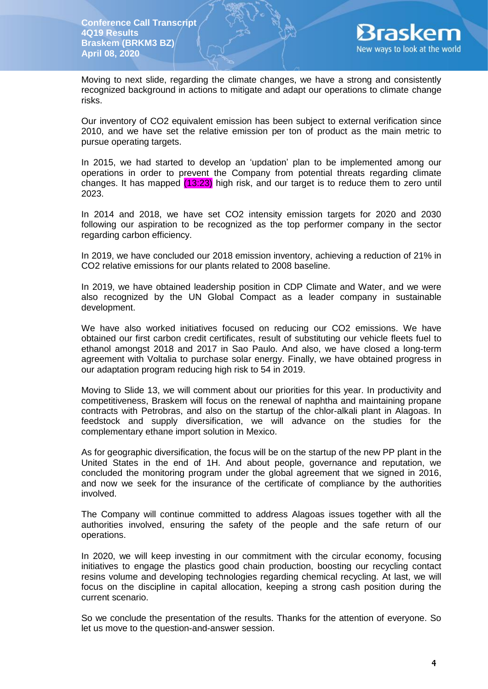

Moving to next slide, regarding the climate changes, we have a strong and consistently recognized background in actions to mitigate and adapt our operations to climate change risks.

Our inventory of CO2 equivalent emission has been subject to external verification since 2010, and we have set the relative emission per ton of product as the main metric to pursue operating targets.

In 2015, we had started to develop an 'updation' plan to be implemented among our operations in order to prevent the Company from potential threats regarding climate changes. It has mapped  $(13:23)$  high risk, and our target is to reduce them to zero until 2023.

In 2014 and 2018, we have set CO2 intensity emission targets for 2020 and 2030 following our aspiration to be recognized as the top performer company in the sector regarding carbon efficiency.

In 2019, we have concluded our 2018 emission inventory, achieving a reduction of 21% in CO2 relative emissions for our plants related to 2008 baseline.

In 2019, we have obtained leadership position in CDP Climate and Water, and we were also recognized by the UN Global Compact as a leader company in sustainable development.

We have also worked initiatives focused on reducing our CO2 emissions. We have obtained our first carbon credit certificates, result of substituting our vehicle fleets fuel to ethanol amongst 2018 and 2017 in Sao Paulo. And also, we have closed a long-term agreement with Voltalia to purchase solar energy. Finally, we have obtained progress in our adaptation program reducing high risk to 54 in 2019.

Moving to Slide 13, we will comment about our priorities for this year. In productivity and competitiveness, Braskem will focus on the renewal of naphtha and maintaining propane contracts with Petrobras, and also on the startup of the chlor-alkali plant in Alagoas. In feedstock and supply diversification, we will advance on the studies for the complementary ethane import solution in Mexico.

As for geographic diversification, the focus will be on the startup of the new PP plant in the United States in the end of 1H. And about people, governance and reputation, we concluded the monitoring program under the global agreement that we signed in 2016, and now we seek for the insurance of the certificate of compliance by the authorities involved.

The Company will continue committed to address Alagoas issues together with all the authorities involved, ensuring the safety of the people and the safe return of our operations.

In 2020, we will keep investing in our commitment with the circular economy, focusing initiatives to engage the plastics good chain production, boosting our recycling contact resins volume and developing technologies regarding chemical recycling. At last, we will focus on the discipline in capital allocation, keeping a strong cash position during the current scenario.

So we conclude the presentation of the results. Thanks for the attention of everyone. So let us move to the question-and-answer session.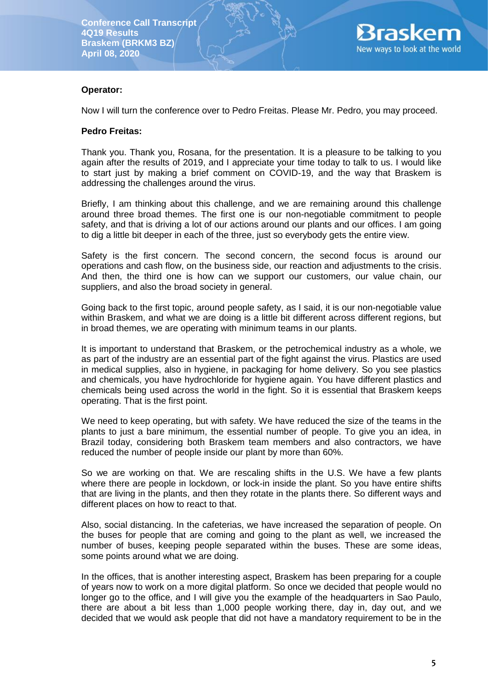

# **Operator:**

Now I will turn the conference over to Pedro Freitas. Please Mr. Pedro, you may proceed.

#### **Pedro Freitas:**

Thank you. Thank you, Rosana, for the presentation. It is a pleasure to be talking to you again after the results of 2019, and I appreciate your time today to talk to us. I would like to start just by making a brief comment on COVID-19, and the way that Braskem is addressing the challenges around the virus.

Briefly, I am thinking about this challenge, and we are remaining around this challenge around three broad themes. The first one is our non-negotiable commitment to people safety, and that is driving a lot of our actions around our plants and our offices. I am going to dig a little bit deeper in each of the three, just so everybody gets the entire view.

Safety is the first concern. The second concern, the second focus is around our operations and cash flow, on the business side, our reaction and adjustments to the crisis. And then, the third one is how can we support our customers, our value chain, our suppliers, and also the broad society in general.

Going back to the first topic, around people safety, as I said, it is our non-negotiable value within Braskem, and what we are doing is a little bit different across different regions, but in broad themes, we are operating with minimum teams in our plants.

It is important to understand that Braskem, or the petrochemical industry as a whole, we as part of the industry are an essential part of the fight against the virus. Plastics are used in medical supplies, also in hygiene, in packaging for home delivery. So you see plastics and chemicals, you have hydrochloride for hygiene again. You have different plastics and chemicals being used across the world in the fight. So it is essential that Braskem keeps operating. That is the first point.

We need to keep operating, but with safety. We have reduced the size of the teams in the plants to just a bare minimum, the essential number of people. To give you an idea, in Brazil today, considering both Braskem team members and also contractors, we have reduced the number of people inside our plant by more than 60%.

So we are working on that. We are rescaling shifts in the U.S. We have a few plants where there are people in lockdown, or lock-in inside the plant. So you have entire shifts that are living in the plants, and then they rotate in the plants there. So different ways and different places on how to react to that.

Also, social distancing. In the cafeterias, we have increased the separation of people. On the buses for people that are coming and going to the plant as well, we increased the number of buses, keeping people separated within the buses. These are some ideas, some points around what we are doing.

In the offices, that is another interesting aspect, Braskem has been preparing for a couple of years now to work on a more digital platform. So once we decided that people would no longer go to the office, and I will give you the example of the headquarters in Sao Paulo, there are about a bit less than 1,000 people working there, day in, day out, and we decided that we would ask people that did not have a mandatory requirement to be in the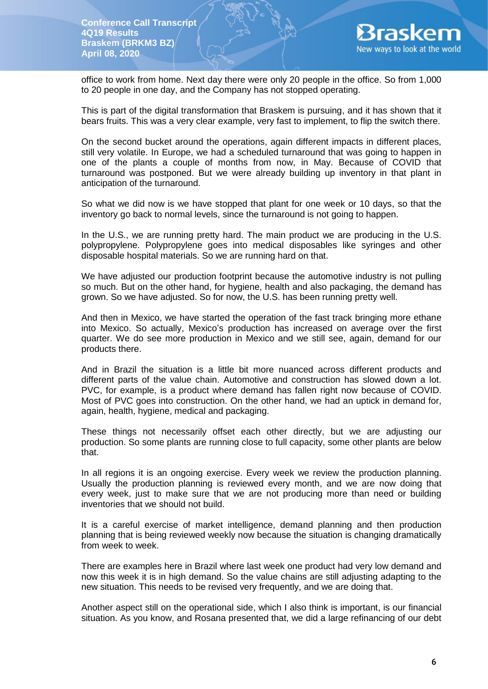

office to work from home. Next day there were only 20 people in the office. So from 1,000 to 20 people in one day, and the Company has not stopped operating.

This is part of the digital transformation that Braskem is pursuing, and it has shown that it bears fruits. This was a very clear example, very fast to implement, to flip the switch there.

On the second bucket around the operations, again different impacts in different places, still very volatile. In Europe, we had a scheduled turnaround that was going to happen in one of the plants a couple of months from now, in May. Because of COVID that turnaround was postponed. But we were already building up inventory in that plant in anticipation of the turnaround.

So what we did now is we have stopped that plant for one week or 10 days, so that the inventory go back to normal levels, since the turnaround is not going to happen.

In the U.S., we are running pretty hard. The main product we are producing in the U.S. polypropylene. Polypropylene goes into medical disposables like syringes and other disposable hospital materials. So we are running hard on that.

We have adjusted our production footprint because the automotive industry is not pulling so much. But on the other hand, for hygiene, health and also packaging, the demand has grown. So we have adjusted. So for now, the U.S. has been running pretty well.

And then in Mexico, we have started the operation of the fast track bringing more ethane into Mexico. So actually, Mexico's production has increased on average over the first quarter. We do see more production in Mexico and we still see, again, demand for our products there.

And in Brazil the situation is a little bit more nuanced across different products and different parts of the value chain. Automotive and construction has slowed down a lot. PVC, for example, is a product where demand has fallen right now because of COVID. Most of PVC goes into construction. On the other hand, we had an uptick in demand for, again, health, hygiene, medical and packaging.

These things not necessarily offset each other directly, but we are adjusting our production. So some plants are running close to full capacity, some other plants are below that.

In all regions it is an ongoing exercise. Every week we review the production planning. Usually the production planning is reviewed every month, and we are now doing that every week, just to make sure that we are not producing more than need or building inventories that we should not build.

It is a careful exercise of market intelligence, demand planning and then production planning that is being reviewed weekly now because the situation is changing dramatically from week to week.

There are examples here in Brazil where last week one product had very low demand and now this week it is in high demand. So the value chains are still adjusting adapting to the new situation. This needs to be revised very frequently, and we are doing that.

Another aspect still on the operational side, which I also think is important, is our financial situation. As you know, and Rosana presented that, we did a large refinancing of our debt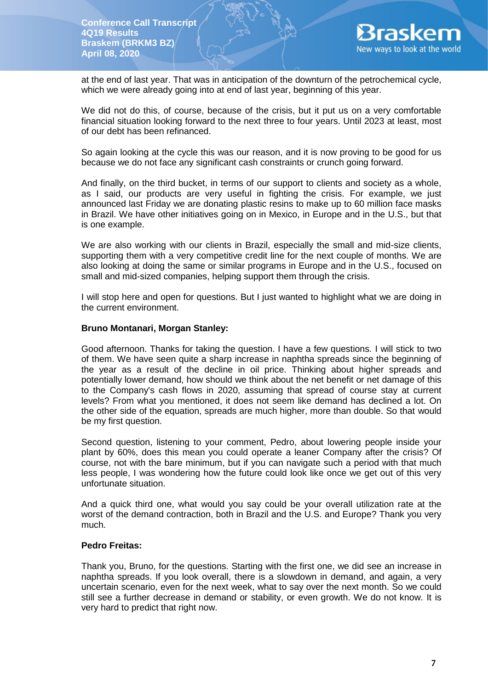

at the end of last year. That was in anticipation of the downturn of the petrochemical cycle, which we were already going into at end of last year, beginning of this year.

We did not do this, of course, because of the crisis, but it put us on a very comfortable financial situation looking forward to the next three to four years. Until 2023 at least, most of our debt has been refinanced.

So again looking at the cycle this was our reason, and it is now proving to be good for us because we do not face any significant cash constraints or crunch going forward.

And finally, on the third bucket, in terms of our support to clients and society as a whole, as I said, our products are very useful in fighting the crisis. For example, we just announced last Friday we are donating plastic resins to make up to 60 million face masks in Brazil. We have other initiatives going on in Mexico, in Europe and in the U.S., but that is one example.

We are also working with our clients in Brazil, especially the small and mid-size clients, supporting them with a very competitive credit line for the next couple of months. We are also looking at doing the same or similar programs in Europe and in the U.S., focused on small and mid-sized companies, helping support them through the crisis.

I will stop here and open for questions. But I just wanted to highlight what we are doing in the current environment.

#### **Bruno Montanari, Morgan Stanley:**

Good afternoon. Thanks for taking the question. I have a few questions. I will stick to two of them. We have seen quite a sharp increase in naphtha spreads since the beginning of the year as a result of the decline in oil price. Thinking about higher spreads and potentially lower demand, how should we think about the net benefit or net damage of this to the Company's cash flows in 2020, assuming that spread of course stay at current levels? From what you mentioned, it does not seem like demand has declined a lot. On the other side of the equation, spreads are much higher, more than double. So that would be my first question.

Second question, listening to your comment, Pedro, about lowering people inside your plant by 60%, does this mean you could operate a leaner Company after the crisis? Of course, not with the bare minimum, but if you can navigate such a period with that much less people, I was wondering how the future could look like once we get out of this very unfortunate situation.

And a quick third one, what would you say could be your overall utilization rate at the worst of the demand contraction, both in Brazil and the U.S. and Europe? Thank you very much.

#### **Pedro Freitas:**

Thank you, Bruno, for the questions. Starting with the first one, we did see an increase in naphtha spreads. If you look overall, there is a slowdown in demand, and again, a very uncertain scenario, even for the next week, what to say over the next month. So we could still see a further decrease in demand or stability, or even growth. We do not know. It is very hard to predict that right now.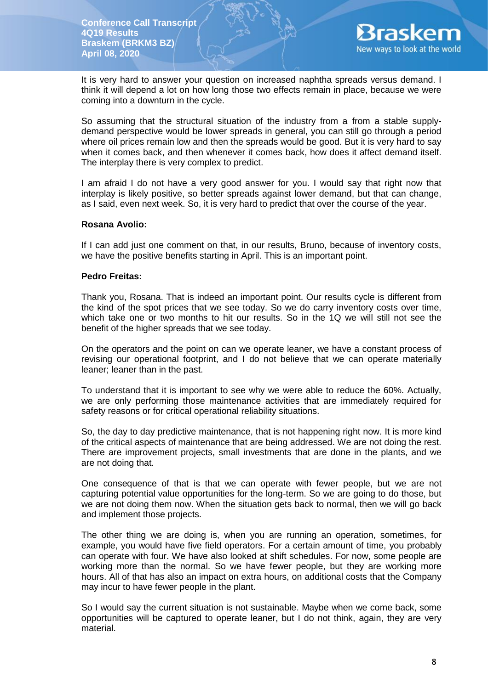

It is very hard to answer your question on increased naphtha spreads versus demand. I think it will depend a lot on how long those two effects remain in place, because we were coming into a downturn in the cycle.

So assuming that the structural situation of the industry from a from a stable supplydemand perspective would be lower spreads in general, you can still go through a period where oil prices remain low and then the spreads would be good. But it is very hard to say when it comes back, and then whenever it comes back, how does it affect demand itself. The interplay there is very complex to predict.

I am afraid I do not have a very good answer for you. I would say that right now that interplay is likely positive, so better spreads against lower demand, but that can change, as I said, even next week. So, it is very hard to predict that over the course of the year.

### **Rosana Avolio:**

If I can add just one comment on that, in our results, Bruno, because of inventory costs, we have the positive benefits starting in April. This is an important point.

### **Pedro Freitas:**

Thank you, Rosana. That is indeed an important point. Our results cycle is different from the kind of the spot prices that we see today. So we do carry inventory costs over time, which take one or two months to hit our results. So in the 1Q we will still not see the benefit of the higher spreads that we see today.

On the operators and the point on can we operate leaner, we have a constant process of revising our operational footprint, and I do not believe that we can operate materially leaner; leaner than in the past.

To understand that it is important to see why we were able to reduce the 60%. Actually, we are only performing those maintenance activities that are immediately required for safety reasons or for critical operational reliability situations.

So, the day to day predictive maintenance, that is not happening right now. It is more kind of the critical aspects of maintenance that are being addressed. We are not doing the rest. There are improvement projects, small investments that are done in the plants, and we are not doing that.

One consequence of that is that we can operate with fewer people, but we are not capturing potential value opportunities for the long-term. So we are going to do those, but we are not doing them now. When the situation gets back to normal, then we will go back and implement those projects.

The other thing we are doing is, when you are running an operation, sometimes, for example, you would have five field operators. For a certain amount of time, you probably can operate with four. We have also looked at shift schedules. For now, some people are working more than the normal. So we have fewer people, but they are working more hours. All of that has also an impact on extra hours, on additional costs that the Company may incur to have fewer people in the plant.

So I would say the current situation is not sustainable. Maybe when we come back, some opportunities will be captured to operate leaner, but I do not think, again, they are very material.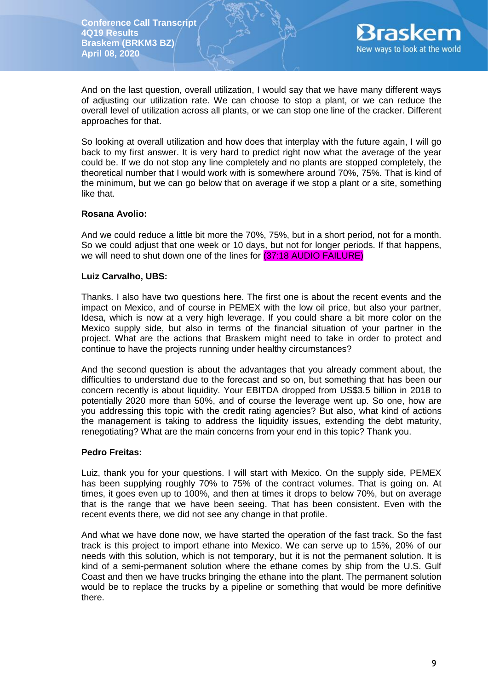

And on the last question, overall utilization, I would say that we have many different ways of adjusting our utilization rate. We can choose to stop a plant, or we can reduce the overall level of utilization across all plants, or we can stop one line of the cracker. Different approaches for that.

So looking at overall utilization and how does that interplay with the future again, I will go back to my first answer. It is very hard to predict right now what the average of the year could be. If we do not stop any line completely and no plants are stopped completely, the theoretical number that I would work with is somewhere around 70%, 75%. That is kind of the minimum, but we can go below that on average if we stop a plant or a site, something like that.

### **Rosana Avolio:**

And we could reduce a little bit more the 70%, 75%, but in a short period, not for a month. So we could adjust that one week or 10 days, but not for longer periods. If that happens, we will need to shut down one of the lines for (37:18 AUDIO FAILURE)

### **Luiz Carvalho, UBS:**

Thanks. I also have two questions here. The first one is about the recent events and the impact on Mexico, and of course in PEMEX with the low oil price, but also your partner, Idesa, which is now at a very high leverage. If you could share a bit more color on the Mexico supply side, but also in terms of the financial situation of your partner in the project. What are the actions that Braskem might need to take in order to protect and continue to have the projects running under healthy circumstances?

And the second question is about the advantages that you already comment about, the difficulties to understand due to the forecast and so on, but something that has been our concern recently is about liquidity. Your EBITDA dropped from US\$3.5 billion in 2018 to potentially 2020 more than 50%, and of course the leverage went up. So one, how are you addressing this topic with the credit rating agencies? But also, what kind of actions the management is taking to address the liquidity issues, extending the debt maturity, renegotiating? What are the main concerns from your end in this topic? Thank you.

#### **Pedro Freitas:**

Luiz, thank you for your questions. I will start with Mexico. On the supply side, PEMEX has been supplying roughly 70% to 75% of the contract volumes. That is going on. At times, it goes even up to 100%, and then at times it drops to below 70%, but on average that is the range that we have been seeing. That has been consistent. Even with the recent events there, we did not see any change in that profile.

And what we have done now, we have started the operation of the fast track. So the fast track is this project to import ethane into Mexico. We can serve up to 15%, 20% of our needs with this solution, which is not temporary, but it is not the permanent solution. It is kind of a semi-permanent solution where the ethane comes by ship from the U.S. Gulf Coast and then we have trucks bringing the ethane into the plant. The permanent solution would be to replace the trucks by a pipeline or something that would be more definitive there.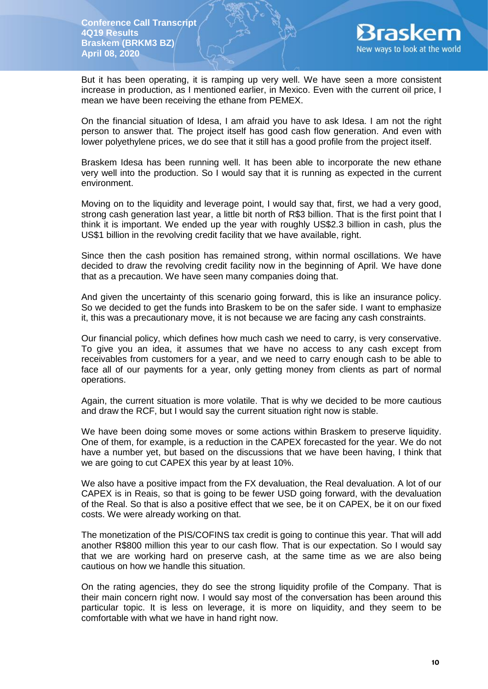

But it has been operating, it is ramping up very well. We have seen a more consistent increase in production, as I mentioned earlier, in Mexico. Even with the current oil price, I mean we have been receiving the ethane from PEMEX.

On the financial situation of Idesa, I am afraid you have to ask Idesa. I am not the right person to answer that. The project itself has good cash flow generation. And even with lower polyethylene prices, we do see that it still has a good profile from the project itself.

Braskem Idesa has been running well. It has been able to incorporate the new ethane very well into the production. So I would say that it is running as expected in the current environment.

Moving on to the liquidity and leverage point, I would say that, first, we had a very good, strong cash generation last year, a little bit north of R\$3 billion. That is the first point that I think it is important. We ended up the year with roughly US\$2.3 billion in cash, plus the US\$1 billion in the revolving credit facility that we have available, right.

Since then the cash position has remained strong, within normal oscillations. We have decided to draw the revolving credit facility now in the beginning of April. We have done that as a precaution. We have seen many companies doing that.

And given the uncertainty of this scenario going forward, this is like an insurance policy. So we decided to get the funds into Braskem to be on the safer side. I want to emphasize it, this was a precautionary move, it is not because we are facing any cash constraints.

Our financial policy, which defines how much cash we need to carry, is very conservative. To give you an idea, it assumes that we have no access to any cash except from receivables from customers for a year, and we need to carry enough cash to be able to face all of our payments for a year, only getting money from clients as part of normal operations.

Again, the current situation is more volatile. That is why we decided to be more cautious and draw the RCF, but I would say the current situation right now is stable.

We have been doing some moves or some actions within Braskem to preserve liquidity. One of them, for example, is a reduction in the CAPEX forecasted for the year. We do not have a number yet, but based on the discussions that we have been having, I think that we are going to cut CAPEX this year by at least 10%.

We also have a positive impact from the FX devaluation, the Real devaluation. A lot of our CAPEX is in Reais, so that is going to be fewer USD going forward, with the devaluation of the Real. So that is also a positive effect that we see, be it on CAPEX, be it on our fixed costs. We were already working on that.

The monetization of the PIS/COFINS tax credit is going to continue this year. That will add another R\$800 million this year to our cash flow. That is our expectation. So I would say that we are working hard on preserve cash, at the same time as we are also being cautious on how we handle this situation.

On the rating agencies, they do see the strong liquidity profile of the Company. That is their main concern right now. I would say most of the conversation has been around this particular topic. It is less on leverage, it is more on liquidity, and they seem to be comfortable with what we have in hand right now.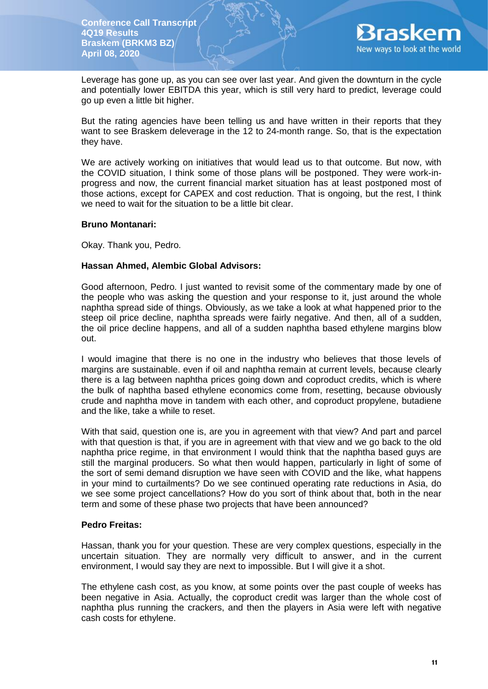

Leverage has gone up, as you can see over last year. And given the downturn in the cycle and potentially lower EBITDA this year, which is still very hard to predict, leverage could go up even a little bit higher.

But the rating agencies have been telling us and have written in their reports that they want to see Braskem deleverage in the 12 to 24-month range. So, that is the expectation they have.

We are actively working on initiatives that would lead us to that outcome. But now, with the COVID situation, I think some of those plans will be postponed. They were work-inprogress and now, the current financial market situation has at least postponed most of those actions, except for CAPEX and cost reduction. That is ongoing, but the rest, I think we need to wait for the situation to be a little bit clear.

### **Bruno Montanari:**

Okay. Thank you, Pedro.

### **Hassan Ahmed, Alembic Global Advisors:**

Good afternoon, Pedro. I just wanted to revisit some of the commentary made by one of the people who was asking the question and your response to it, just around the whole naphtha spread side of things. Obviously, as we take a look at what happened prior to the steep oil price decline, naphtha spreads were fairly negative. And then, all of a sudden, the oil price decline happens, and all of a sudden naphtha based ethylene margins blow out.

I would imagine that there is no one in the industry who believes that those levels of margins are sustainable. even if oil and naphtha remain at current levels, because clearly there is a lag between naphtha prices going down and coproduct credits, which is where the bulk of naphtha based ethylene economics come from, resetting, because obviously crude and naphtha move in tandem with each other, and coproduct propylene, butadiene and the like, take a while to reset.

With that said, question one is, are you in agreement with that view? And part and parcel with that question is that, if you are in agreement with that view and we go back to the old naphtha price regime, in that environment I would think that the naphtha based guys are still the marginal producers. So what then would happen, particularly in light of some of the sort of semi demand disruption we have seen with COVID and the like, what happens in your mind to curtailments? Do we see continued operating rate reductions in Asia, do we see some project cancellations? How do you sort of think about that, both in the near term and some of these phase two projects that have been announced?

#### **Pedro Freitas:**

Hassan, thank you for your question. These are very complex questions, especially in the uncertain situation. They are normally very difficult to answer, and in the current environment, I would say they are next to impossible. But I will give it a shot.

The ethylene cash cost, as you know, at some points over the past couple of weeks has been negative in Asia. Actually, the coproduct credit was larger than the whole cost of naphtha plus running the crackers, and then the players in Asia were left with negative cash costs for ethylene.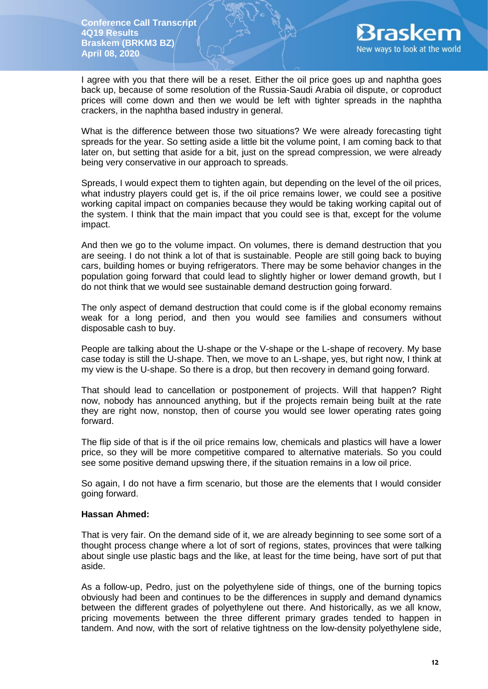

I agree with you that there will be a reset. Either the oil price goes up and naphtha goes back up, because of some resolution of the Russia-Saudi Arabia oil dispute, or coproduct prices will come down and then we would be left with tighter spreads in the naphtha crackers, in the naphtha based industry in general.

What is the difference between those two situations? We were already forecasting tight spreads for the year. So setting aside a little bit the volume point, I am coming back to that later on, but setting that aside for a bit, just on the spread compression, we were already being very conservative in our approach to spreads.

Spreads, I would expect them to tighten again, but depending on the level of the oil prices, what industry players could get is, if the oil price remains lower, we could see a positive working capital impact on companies because they would be taking working capital out of the system. I think that the main impact that you could see is that, except for the volume impact.

And then we go to the volume impact. On volumes, there is demand destruction that you are seeing. I do not think a lot of that is sustainable. People are still going back to buying cars, building homes or buying refrigerators. There may be some behavior changes in the population going forward that could lead to slightly higher or lower demand growth, but I do not think that we would see sustainable demand destruction going forward.

The only aspect of demand destruction that could come is if the global economy remains weak for a long period, and then you would see families and consumers without disposable cash to buy.

People are talking about the U-shape or the V-shape or the L-shape of recovery. My base case today is still the U-shape. Then, we move to an L-shape, yes, but right now, I think at my view is the U-shape. So there is a drop, but then recovery in demand going forward.

That should lead to cancellation or postponement of projects. Will that happen? Right now, nobody has announced anything, but if the projects remain being built at the rate they are right now, nonstop, then of course you would see lower operating rates going forward.

The flip side of that is if the oil price remains low, chemicals and plastics will have a lower price, so they will be more competitive compared to alternative materials. So you could see some positive demand upswing there, if the situation remains in a low oil price.

So again, I do not have a firm scenario, but those are the elements that I would consider going forward.

#### **Hassan Ahmed:**

That is very fair. On the demand side of it, we are already beginning to see some sort of a thought process change where a lot of sort of regions, states, provinces that were talking about single use plastic bags and the like, at least for the time being, have sort of put that aside.

As a follow-up, Pedro, just on the polyethylene side of things, one of the burning topics obviously had been and continues to be the differences in supply and demand dynamics between the different grades of polyethylene out there. And historically, as we all know, pricing movements between the three different primary grades tended to happen in tandem. And now, with the sort of relative tightness on the low-density polyethylene side,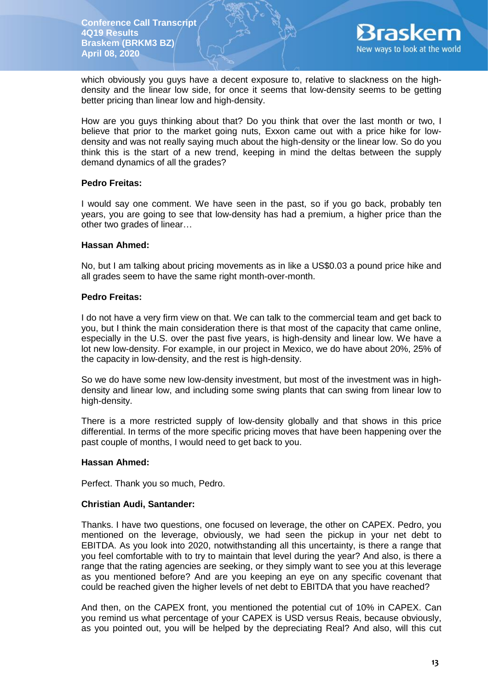

which obviously you guys have a decent exposure to, relative to slackness on the highdensity and the linear low side, for once it seems that low-density seems to be getting better pricing than linear low and high-density.

How are you guys thinking about that? Do you think that over the last month or two, I believe that prior to the market going nuts, Exxon came out with a price hike for lowdensity and was not really saying much about the high-density or the linear low. So do you think this is the start of a new trend, keeping in mind the deltas between the supply demand dynamics of all the grades?

### **Pedro Freitas:**

I would say one comment. We have seen in the past, so if you go back, probably ten years, you are going to see that low-density has had a premium, a higher price than the other two grades of linear…

### **Hassan Ahmed:**

No, but I am talking about pricing movements as in like a US\$0.03 a pound price hike and all grades seem to have the same right month-over-month.

### **Pedro Freitas:**

I do not have a very firm view on that. We can talk to the commercial team and get back to you, but I think the main consideration there is that most of the capacity that came online, especially in the U.S. over the past five years, is high-density and linear low. We have a lot new low-density. For example, in our project in Mexico, we do have about 20%, 25% of the capacity in low-density, and the rest is high-density.

So we do have some new low-density investment, but most of the investment was in highdensity and linear low, and including some swing plants that can swing from linear low to high-density.

There is a more restricted supply of low-density globally and that shows in this price differential. In terms of the more specific pricing moves that have been happening over the past couple of months, I would need to get back to you.

#### **Hassan Ahmed:**

Perfect. Thank you so much, Pedro.

# **Christian Audi, Santander:**

Thanks. I have two questions, one focused on leverage, the other on CAPEX. Pedro, you mentioned on the leverage, obviously, we had seen the pickup in your net debt to EBITDA. As you look into 2020, notwithstanding all this uncertainty, is there a range that you feel comfortable with to try to maintain that level during the year? And also, is there a range that the rating agencies are seeking, or they simply want to see you at this leverage as you mentioned before? And are you keeping an eye on any specific covenant that could be reached given the higher levels of net debt to EBITDA that you have reached?

And then, on the CAPEX front, you mentioned the potential cut of 10% in CAPEX. Can you remind us what percentage of your CAPEX is USD versus Reais, because obviously, as you pointed out, you will be helped by the depreciating Real? And also, will this cut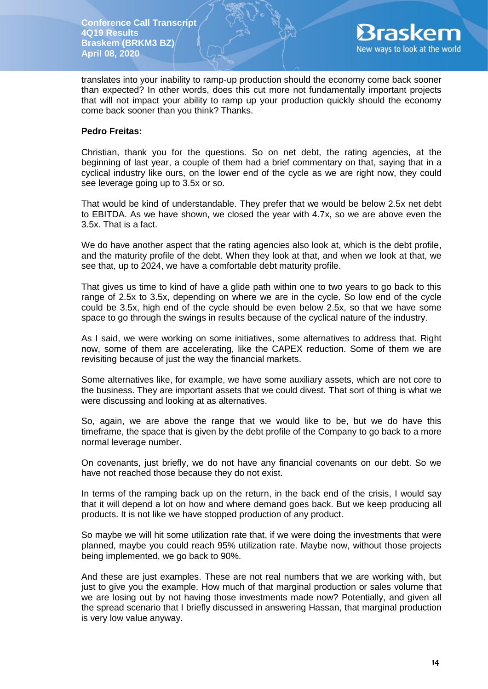

translates into your inability to ramp-up production should the economy come back sooner than expected? In other words, does this cut more not fundamentally important projects that will not impact your ability to ramp up your production quickly should the economy come back sooner than you think? Thanks.

### **Pedro Freitas:**

Christian, thank you for the questions. So on net debt, the rating agencies, at the beginning of last year, a couple of them had a brief commentary on that, saying that in a cyclical industry like ours, on the lower end of the cycle as we are right now, they could see leverage going up to 3.5x or so.

That would be kind of understandable. They prefer that we would be below 2.5x net debt to EBITDA. As we have shown, we closed the year with 4.7x, so we are above even the 3.5x. That is a fact.

We do have another aspect that the rating agencies also look at, which is the debt profile, and the maturity profile of the debt. When they look at that, and when we look at that, we see that, up to 2024, we have a comfortable debt maturity profile.

That gives us time to kind of have a glide path within one to two years to go back to this range of 2.5x to 3.5x, depending on where we are in the cycle. So low end of the cycle could be 3.5x, high end of the cycle should be even below 2.5x, so that we have some space to go through the swings in results because of the cyclical nature of the industry.

As I said, we were working on some initiatives, some alternatives to address that. Right now, some of them are accelerating, like the CAPEX reduction. Some of them we are revisiting because of just the way the financial markets.

Some alternatives like, for example, we have some auxiliary assets, which are not core to the business. They are important assets that we could divest. That sort of thing is what we were discussing and looking at as alternatives.

So, again, we are above the range that we would like to be, but we do have this timeframe, the space that is given by the debt profile of the Company to go back to a more normal leverage number.

On covenants, just briefly, we do not have any financial covenants on our debt. So we have not reached those because they do not exist.

In terms of the ramping back up on the return, in the back end of the crisis, I would say that it will depend a lot on how and where demand goes back. But we keep producing all products. It is not like we have stopped production of any product.

So maybe we will hit some utilization rate that, if we were doing the investments that were planned, maybe you could reach 95% utilization rate. Maybe now, without those projects being implemented, we go back to 90%.

And these are just examples. These are not real numbers that we are working with, but just to give you the example. How much of that marginal production or sales volume that we are losing out by not having those investments made now? Potentially, and given all the spread scenario that I briefly discussed in answering Hassan, that marginal production is very low value anyway.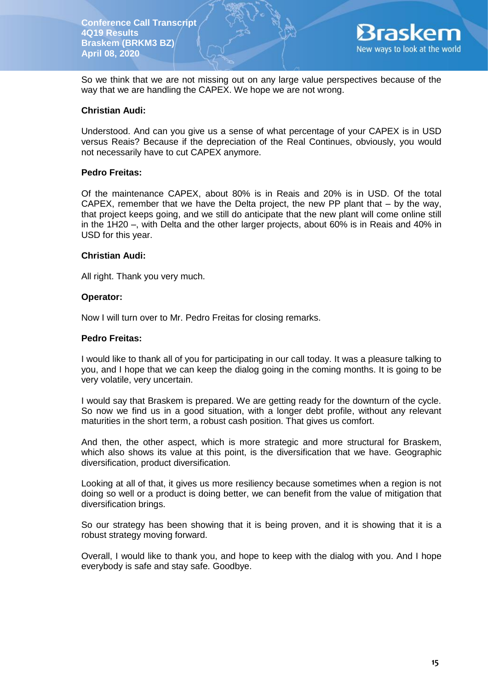

So we think that we are not missing out on any large value perspectives because of the way that we are handling the CAPEX. We hope we are not wrong.

# **Christian Audi:**

Understood. And can you give us a sense of what percentage of your CAPEX is in USD versus Reais? Because if the depreciation of the Real Continues, obviously, you would not necessarily have to cut CAPEX anymore.

### **Pedro Freitas:**

Of the maintenance CAPEX, about 80% is in Reais and 20% is in USD. Of the total CAPEX, remember that we have the Delta project, the new PP plant that – by the way, that project keeps going, and we still do anticipate that the new plant will come online still in the 1H20 –, with Delta and the other larger projects, about 60% is in Reais and 40% in USD for this year.

### **Christian Audi:**

All right. Thank you very much.

### **Operator:**

Now I will turn over to Mr. Pedro Freitas for closing remarks.

#### **Pedro Freitas:**

I would like to thank all of you for participating in our call today. It was a pleasure talking to you, and I hope that we can keep the dialog going in the coming months. It is going to be very volatile, very uncertain.

I would say that Braskem is prepared. We are getting ready for the downturn of the cycle. So now we find us in a good situation, with a longer debt profile, without any relevant maturities in the short term, a robust cash position. That gives us comfort.

And then, the other aspect, which is more strategic and more structural for Braskem, which also shows its value at this point, is the diversification that we have. Geographic diversification, product diversification.

Looking at all of that, it gives us more resiliency because sometimes when a region is not doing so well or a product is doing better, we can benefit from the value of mitigation that diversification brings.

So our strategy has been showing that it is being proven, and it is showing that it is a robust strategy moving forward.

Overall, I would like to thank you, and hope to keep with the dialog with you. And I hope everybody is safe and stay safe. Goodbye.